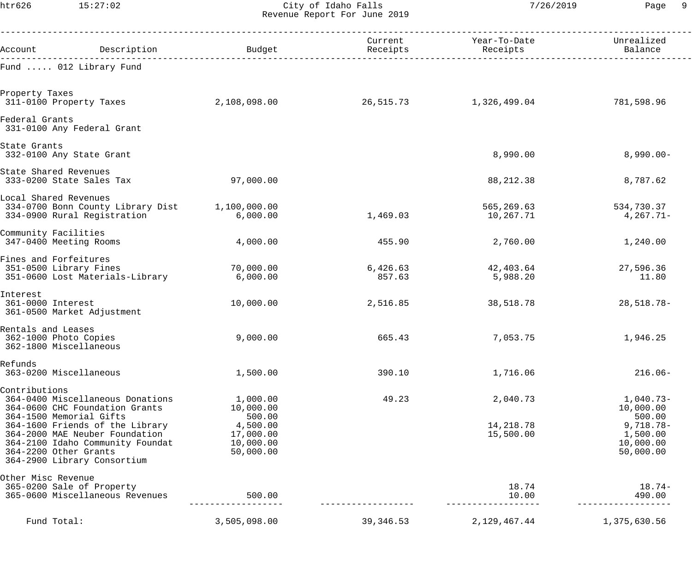htr626 15:27:02 City of Idaho Falls 7/26/2019 Page 9 Revenue Report For June 2019

| Account                                                                                   | Description                                                                                                                                                                                                | Budget                                                                             | Current<br>Receipts | Year-To-Date<br>Receipts           | Unrealized<br>Balance                                                                   |
|-------------------------------------------------------------------------------------------|------------------------------------------------------------------------------------------------------------------------------------------------------------------------------------------------------------|------------------------------------------------------------------------------------|---------------------|------------------------------------|-----------------------------------------------------------------------------------------|
|                                                                                           | Fund  012 Library Fund                                                                                                                                                                                     |                                                                                    |                     |                                    |                                                                                         |
| Property Taxes<br>311-0100 Property Taxes                                                 |                                                                                                                                                                                                            | 2,108,098.00                                                                       | 26,515.73           | 1,326,499.04                       | 781,598.96                                                                              |
| Federal Grants                                                                            | 331-0100 Any Federal Grant                                                                                                                                                                                 |                                                                                    |                     |                                    |                                                                                         |
| State Grants                                                                              | 332-0100 Any State Grant                                                                                                                                                                                   |                                                                                    |                     | 8,990.00                           | $8,990.00 -$                                                                            |
| State Shared Revenues<br>333-0200 State Sales Tax                                         |                                                                                                                                                                                                            | 97,000.00                                                                          |                     | 88, 212.38                         | 8,787.62                                                                                |
| Local Shared Revenues<br>334-0700 Bonn County Library Dist<br>334-0900 Rural Registration |                                                                                                                                                                                                            | 1,100,000.00<br>6,000.00                                                           | 1,469.03            | 565,269.63<br>10,267.71            | 534,730.37<br>$4,267.71-$                                                               |
| Community Facilities<br>347-0400 Meeting Rooms                                            |                                                                                                                                                                                                            | 4,000.00                                                                           | 455.90              | 2,760.00                           | 1,240.00                                                                                |
| Fines and Forfeitures<br>351-0500 Library Fines<br>351-0600 Lost Materials-Library        |                                                                                                                                                                                                            | 70,000.00<br>6,000.00                                                              | 6,426.63<br>857.63  | 42,403.64<br>5,988.20              | 27,596.36<br>11.80                                                                      |
| Interest<br>361-0000 Interest<br>361-0500 Market Adjustment                               |                                                                                                                                                                                                            | 10,000.00                                                                          | 2,516.85            | 38,518.78                          | $28,518.78-$                                                                            |
| Rentals and Leases<br>362-1000 Photo Copies<br>362-1800 Miscellaneous                     |                                                                                                                                                                                                            | 9,000.00                                                                           | 665.43              | 7,053.75                           | 1,946.25                                                                                |
| Refunds<br>363-0200 Miscellaneous                                                         |                                                                                                                                                                                                            | 1,500.00                                                                           | 390.10              | 1,716.06                           | $216.06-$                                                                               |
| Contributions<br>364-1500 Memorial Gifts<br>364-2200 Other Grants                         | 364-0400 Miscellaneous Donations<br>364-0600 CHC Foundation Grants<br>364-1600 Friends of the Library<br>364-2000 MAE Neuber Foundation<br>364-2100 Idaho Community Foundat<br>364-2900 Library Consortium | 1,000.00<br>10,000.00<br>500.00<br>4,500.00<br>17,000.00<br>10,000.00<br>50,000.00 | 49.23               | 2,040.73<br>14,218.78<br>15,500.00 | $1,040.73-$<br>10,000.00<br>500.00<br>$9,718.78-$<br>1,500.00<br>10,000.00<br>50,000.00 |
| Other Misc Revenue<br>365-0200 Sale of Property<br>365-0600 Miscellaneous Revenues        |                                                                                                                                                                                                            | 500.00                                                                             |                     | 18.74<br>10.00                     | $18.74-$<br>490.00                                                                      |
| Fund Total:                                                                               |                                                                                                                                                                                                            | 3,505,098.00                                                                       | 39, 346.53          | 2, 129, 467. 44                    | 1,375,630.56                                                                            |